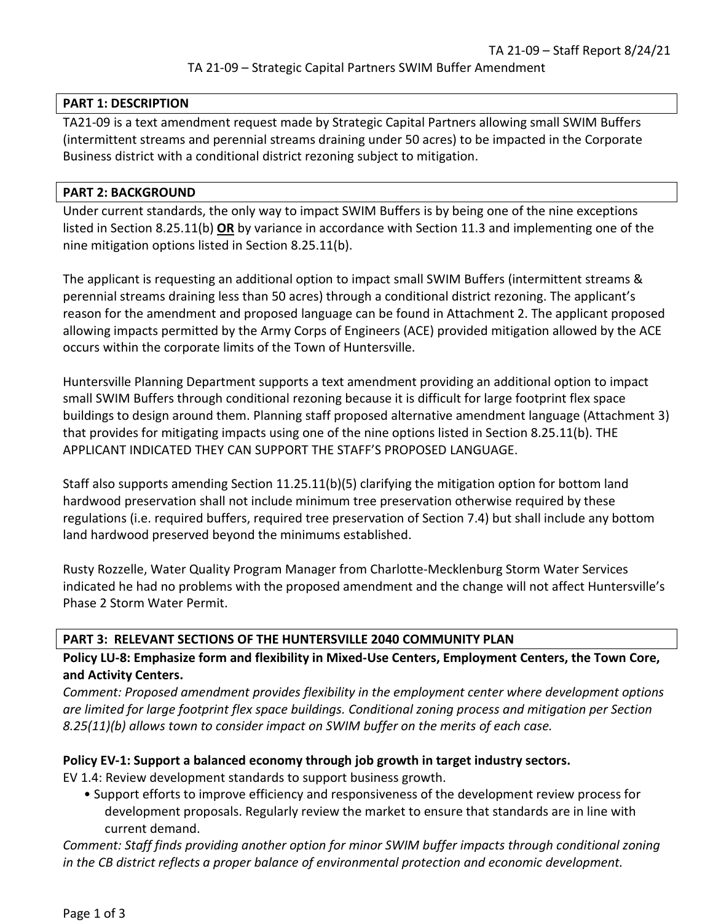#### **PART 1: DESCRIPTION**

TA21-09 is a text amendment request made by Strategic Capital Partners allowing small SWIM Buffers (intermittent streams and perennial streams draining under 50 acres) to be impacted in the Corporate Business district with a conditional district rezoning subject to mitigation.

### **PART 2: BACKGROUND**

Under current standards, the only way to impact SWIM Buffers is by being one of the nine exceptions listed in Section 8.25.11(b) **OR** by variance in accordance with Section 11.3 and implementing one of the nine mitigation options listed in Section 8.25.11(b).

The applicant is requesting an additional option to impact small SWIM Buffers (intermittent streams & perennial streams draining less than 50 acres) through a conditional district rezoning. The applicant's reason for the amendment and proposed language can be found in Attachment 2. The applicant proposed allowing impacts permitted by the Army Corps of Engineers (ACE) provided mitigation allowed by the ACE occurs within the corporate limits of the Town of Huntersville.

Huntersville Planning Department supports a text amendment providing an additional option to impact small SWIM Buffers through conditional rezoning because it is difficult for large footprint flex space buildings to design around them. Planning staff proposed alternative amendment language (Attachment 3) that provides for mitigating impacts using one of the nine options listed in Section 8.25.11(b). THE APPLICANT INDICATED THEY CAN SUPPORT THE STAFF'S PROPOSED LANGUAGE.

Staff also supports amending Section 11.25.11(b)(5) clarifying the mitigation option for bottom land hardwood preservation shall not include minimum tree preservation otherwise required by these regulations (i.e. required buffers, required tree preservation of Section 7.4) but shall include any bottom land hardwood preserved beyond the minimums established.

Rusty Rozzelle, Water Quality Program Manager from Charlotte-Mecklenburg Storm Water Services indicated he had no problems with the proposed amendment and the change will not affect Huntersville's Phase 2 Storm Water Permit.

### **PART 3: RELEVANT SECTIONS OF THE HUNTERSVILLE 2040 COMMUNITY PLAN**

**Policy LU-8: Emphasize form and flexibility in Mixed-Use Centers, Employment Centers, the Town Core, and Activity Centers.** 

*Comment: Proposed amendment provides flexibility in the employment center where development options are limited for large footprint flex space buildings. Conditional zoning process and mitigation per Section 8.25(11)(b) allows town to consider impact on SWIM buffer on the merits of each case.*

### **Policy EV-1: Support a balanced economy through job growth in target industry sectors.**

EV 1.4: Review development standards to support business growth.

• Support efforts to improve efficiency and responsiveness of the development review process for development proposals. Regularly review the market to ensure that standards are in line with current demand.

*Comment: Staff finds providing another option for minor SWIM buffer impacts through conditional zoning in the CB district reflects a proper balance of environmental protection and economic development.*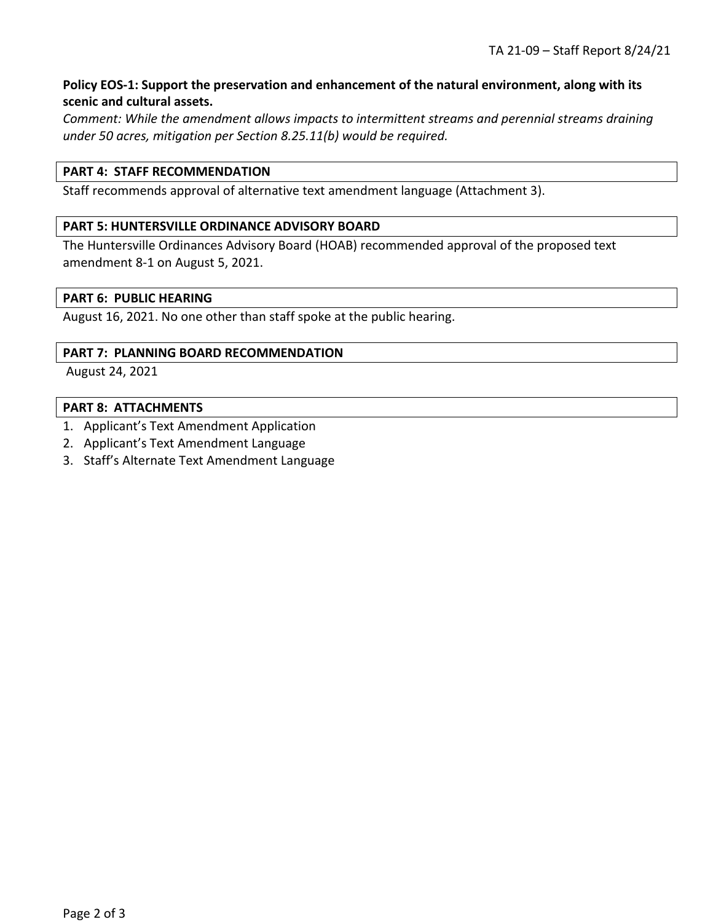# **Policy EOS-1: Support the preservation and enhancement of the natural environment, along with its scenic and cultural assets.**

*Comment: While the amendment allows impacts to intermittent streams and perennial streams draining under 50 acres, mitigation per Section 8.25.11(b) would be required.*

## **PART 4: STAFF RECOMMENDATION**

Staff recommends approval of alternative text amendment language (Attachment 3).

#### **PART 5: HUNTERSVILLE ORDINANCE ADVISORY BOARD**

The Huntersville Ordinances Advisory Board (HOAB) recommended approval of the proposed text amendment 8-1 on August 5, 2021.

### **PART 6: PUBLIC HEARING**

August 16, 2021. No one other than staff spoke at the public hearing.

#### **PART 7: PLANNING BOARD RECOMMENDATION**

August 24, 2021

#### **PART 8: ATTACHMENTS**

- 1. Applicant's Text Amendment Application
- 2. Applicant's Text Amendment Language
- 3. Staff's Alternate Text Amendment Language